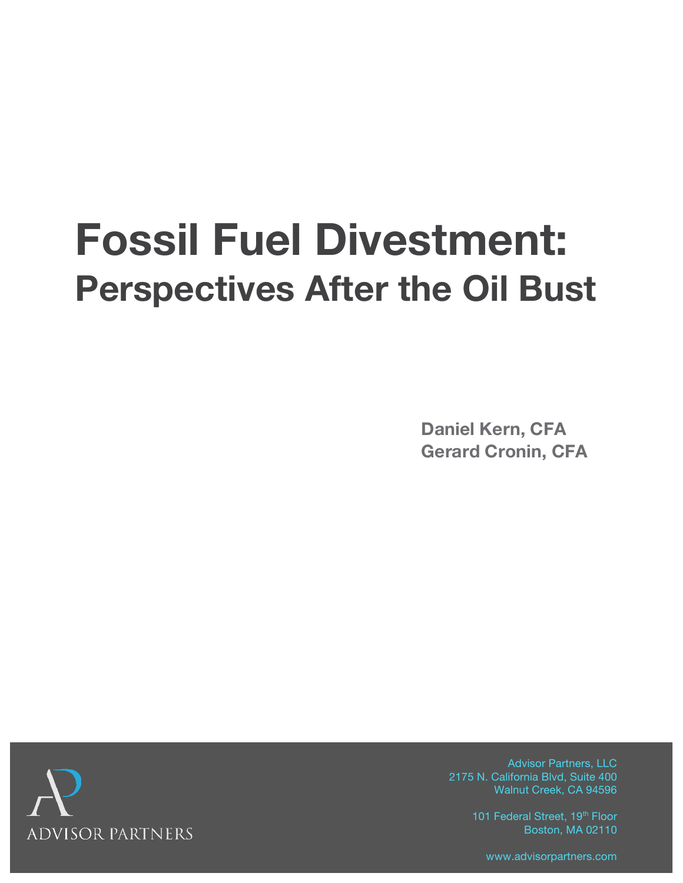# **Fossil Fuel Divestment: Perspectives After the Oil Bust**

**Daniel Kern, CFA Gerard Cronin, CFA**



Advisor Partners, LLC 2175 N. California Blvd, Suite 400 Walnut Creek, CA 94596

> 101 Federal Street, 19<sup>th</sup> Floor Boston, MA 02110

www.advisorpartners.com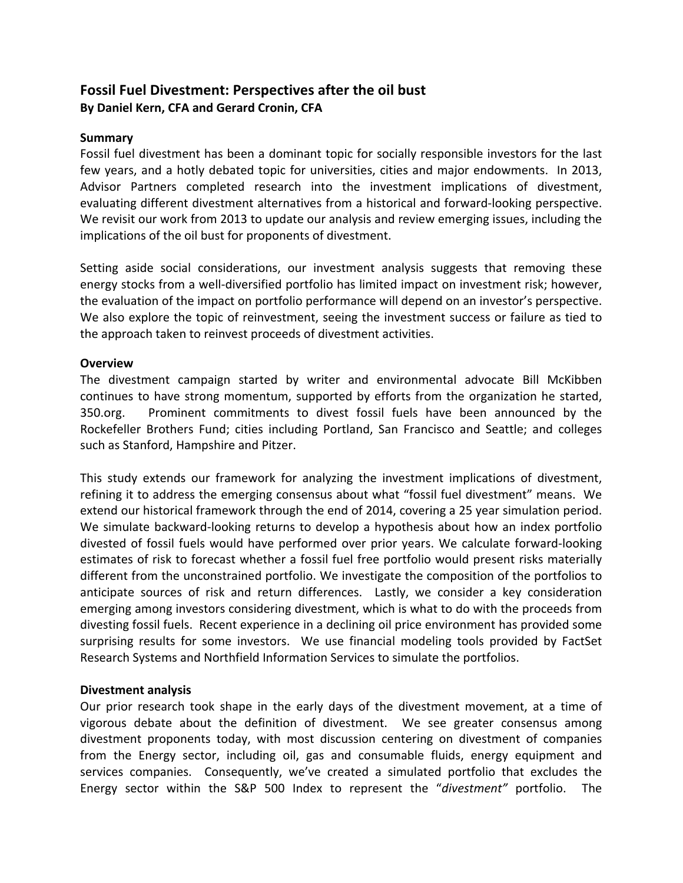# **Fossil Fuel Divestment: Perspectives after the oil bust** By Daniel Kern, CFA and Gerard Cronin, CFA

#### **Summary**

Fossil fuel divestment has been a dominant topic for socially responsible investors for the last few years, and a hotly debated topic for universities, cities and major endowments. In 2013, Advisor Partners completed research into the investment implications of divestment, evaluating different divestment alternatives from a historical and forward-looking perspective. We revisit our work from 2013 to update our analysis and review emerging issues, including the implications of the oil bust for proponents of divestment.

Setting aside social considerations, our investment analysis suggests that removing these energy stocks from a well-diversified portfolio has limited impact on investment risk; however, the evaluation of the impact on portfolio performance will depend on an investor's perspective. We also explore the topic of reinvestment, seeing the investment success or failure as tied to the approach taken to reinvest proceeds of divestment activities.

#### **Overview**

The divestment campaign started by writer and environmental advocate Bill McKibben continues to have strong momentum, supported by efforts from the organization he started, 350.org. ! ! Prominent! commitments! to! divest! fossil! fuels! have! been! announced! by! the! Rockefeller Brothers Fund; cities including Portland, San Francisco and Seattle; and colleges such as Stanford, Hampshire and Pitzer.

This study extends our framework for analyzing the investment implications of divestment, refining it to address the emerging consensus about what "fossil fuel divestment" means. We extend our historical framework through the end of 2014, covering a 25 year simulation period. We simulate backward-looking returns to develop a hypothesis about how an index portfolio divested of fossil fuels would have performed over prior years. We calculate forward-looking estimates of risk to forecast whether a fossil fuel free portfolio would present risks materially different from the unconstrained portfolio. We investigate the composition of the portfolios to anticipate sources of risk and return differences. Lastly, we consider a key consideration emerging among investors considering divestment, which is what to do with the proceeds from divesting fossil fuels. Recent experience in a declining oil price environment has provided some surprising results for some investors. We use financial modeling tools provided by FactSet Research Systems and Northfield Information Services to simulate the portfolios.

#### **Divestment analysis**

Our prior research took shape in the early days of the divestment movement, at a time of vigorous debate about the definition of divestment. We see greater consensus among divestment proponents today, with most discussion centering on divestment of companies from the Energy sector, including oil, gas and consumable fluids, energy equipment and services companies. Consequently, we've created a simulated portfolio that excludes the Energy sector within the S&P 500 Index to represent the "*divestment"* portfolio. The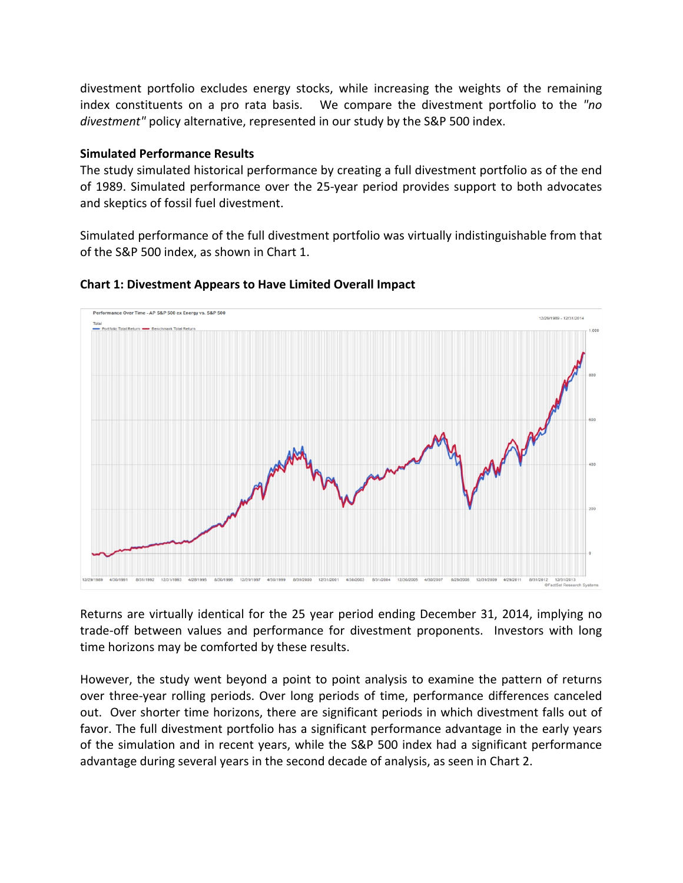divestment portfolio excludes energy stocks, while increasing the weights of the remaining index constituents on a pro rata basis. We compare the divestment portfolio to the "no *divestment"* policy alternative, represented in our study by the S&P 500 index.

### **Simulated Performance Results**

The study simulated historical performance by creating a full divestment portfolio as of the end of 1989. Simulated performance over the 25-year period provides support to both advocates and skeptics of fossil fuel divestment.

Simulated performance of the full divestment portfolio was virtually indistinguishable from that of the S&P 500 index, as shown in Chart 1.



#### **Chart 1: Divestment Appears to Have Limited Overall Impact**

Returns are virtually identical for the 25 year period ending December 31, 2014, implying no trade-off between values and performance for divestment proponents. Investors with long time horizons may be comforted by these results.

However, the study went beyond a point to point analysis to examine the pattern of returns over three-year rolling periods. Over long periods of time, performance differences canceled out. Over shorter time horizons, there are significant periods in which divestment falls out of favor. The full divestment portfolio has a significant performance advantage in the early years of the simulation and in recent years, while the S&P 500 index had a significant performance advantage during several years in the second decade of analysis, as seen in Chart 2.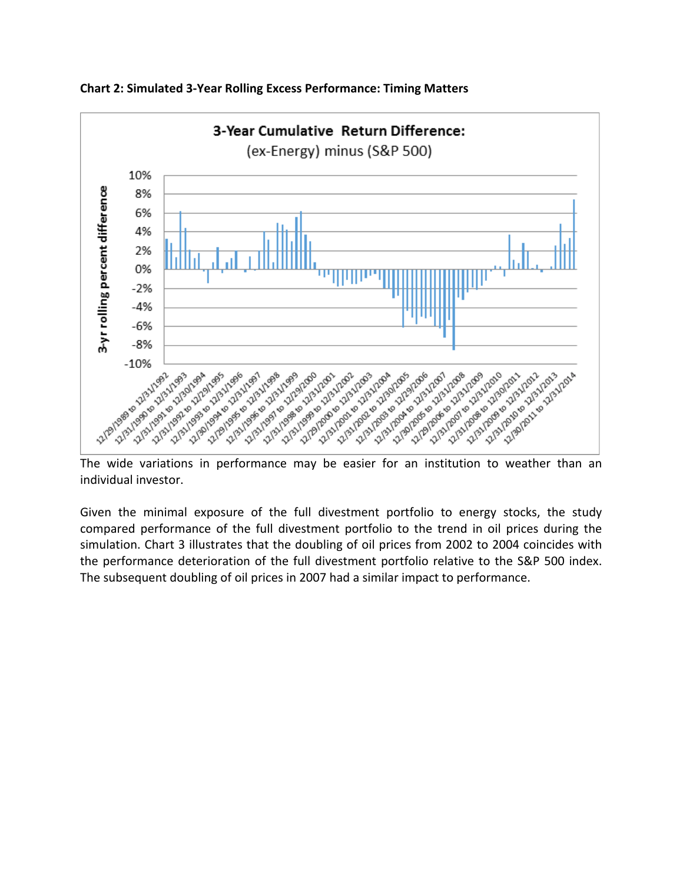

**Chart 2: Simulated 3-Year Rolling Excess Performance: Timing Matters** 

individual investor.

Given the minimal exposure of the full divestment portfolio to energy stocks, the study compared performance of the full divestment portfolio to the trend in oil prices during the simulation. Chart 3 illustrates that the doubling of oil prices from 2002 to 2004 coincides with the performance deterioration of the full divestment portfolio relative to the S&P 500 index. The subsequent doubling of oil prices in 2007 had a similar impact to performance.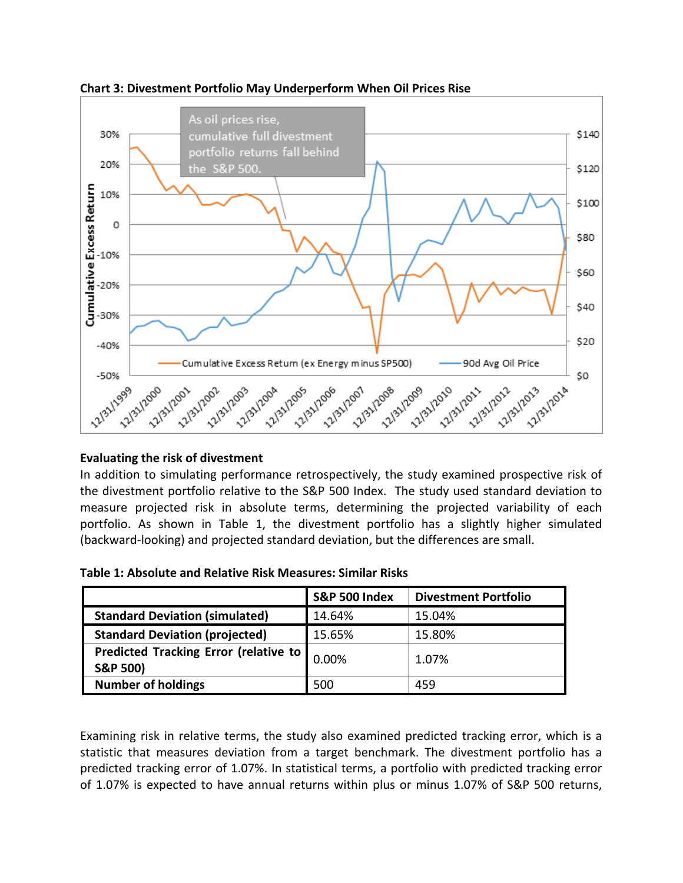



## **Evaluating the risk of divestment**

In addition to simulating performance retrospectively, the study examined prospective risk of the divestment portfolio relative to the S&P 500 Index. The study used standard deviation to measure projected risk in absolute terms, determining the projected variability of each portfolio. As shown in Table 1, the divestment portfolio has a slightly higher simulated (backward-looking) and projected standard deviation, but the differences are small.

|  | Table 1: Absolute and Relative Risk Measures: Similar Risks |
|--|-------------------------------------------------------------|
|--|-------------------------------------------------------------|

|                                                                     | <b>S&amp;P 500 Index</b> | <b>Divestment Portfolio</b> |
|---------------------------------------------------------------------|--------------------------|-----------------------------|
| <b>Standard Deviation (simulated)</b>                               | 14.64%                   | 15.04%                      |
| <b>Standard Deviation (projected)</b>                               | 15.65%                   | 15.80%                      |
| <b>Predicted Tracking Error (relative to</b><br><b>S&amp;P 500)</b> | 0.00%                    | 1.07%                       |
| <b>Number of holdings</b>                                           | 500                      | 459                         |

Examining risk in relative terms, the study also examined predicted tracking error, which is a statistic that measures deviation from a target benchmark. The divestment portfolio has a predicted tracking error of 1.07%. In statistical terms, a portfolio with predicted tracking error of 1.07% is expected to have annual returns within plus or minus 1.07% of S&P 500 returns,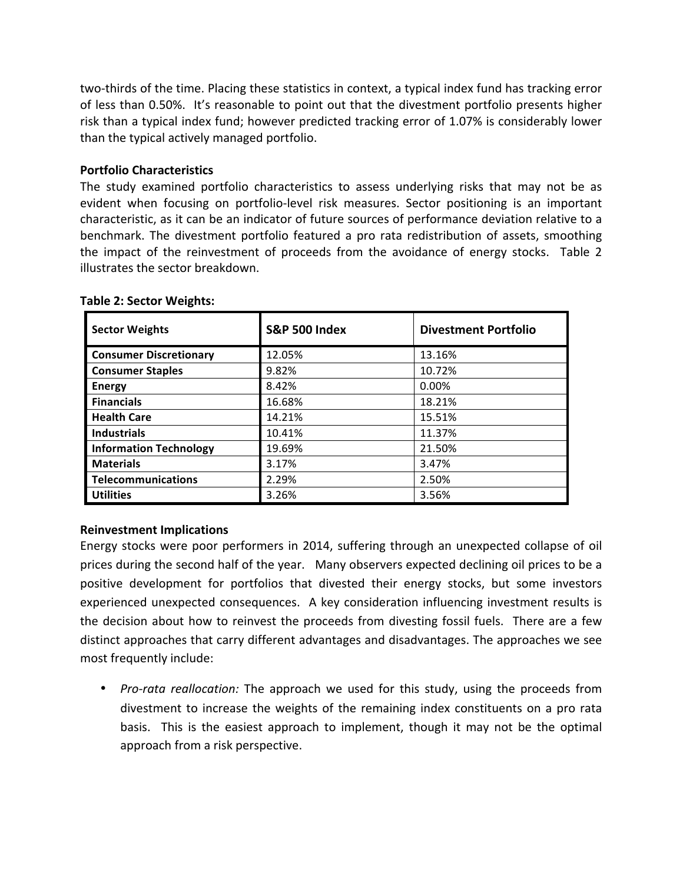two-thirds of the time. Placing these statistics in context, a typical index fund has tracking error of less than 0.50%. It's reasonable to point out that the divestment portfolio presents higher risk than a typical index fund; however predicted tracking error of 1.07% is considerably lower than the typical actively managed portfolio.

#### **Portfolio&Characteristics**

The study examined portfolio characteristics to assess underlying risks that may not be as evident when focusing on portfolio-level risk measures. Sector positioning is an important characteristic, as it can be an indicator of future sources of performance deviation relative to a benchmark. The divestment portfolio featured a pro rata redistribution of assets, smoothing the impact of the reinvestment of proceeds from the avoidance of energy stocks. Table 2 illustrates the sector breakdown.

| <b>Sector Weights</b>         | <b>S&amp;P 500 Index</b> | <b>Divestment Portfolio</b> |
|-------------------------------|--------------------------|-----------------------------|
| <b>Consumer Discretionary</b> | 12.05%                   | 13.16%                      |
| <b>Consumer Staples</b>       | 9.82%                    | 10.72%                      |
| <b>Energy</b>                 | 8.42%                    | 0.00%                       |
| <b>Financials</b>             | 16.68%                   | 18.21%                      |
| <b>Health Care</b>            | 14.21%                   | 15.51%                      |
| <b>Industrials</b>            | 10.41%                   | 11.37%                      |
| <b>Information Technology</b> | 19.69%                   | 21.50%                      |
| <b>Materials</b>              | 3.17%                    | 3.47%                       |
| <b>Telecommunications</b>     | 2.29%                    | 2.50%                       |
| <b>Utilities</b>              | 3.26%                    | 3.56%                       |

#### **Table 2: Sector Weights:**

#### **Reinvestment Implications**

Energy stocks were poor performers in 2014, suffering through an unexpected collapse of oil prices during the second half of the year. Many observers expected declining oil prices to be a positive development for portfolios that divested their energy stocks, but some investors experienced unexpected consequences. A key consideration influencing investment results is the decision about how to reinvest the proceeds from divesting fossil fuels. There are a few distinct approaches that carry different advantages and disadvantages. The approaches we see most frequently include:

• *Pro-rata reallocation:* The approach we used for this study, using the proceeds from divestment to increase the weights of the remaining index constituents on a pro rata basis. This is the easiest approach to implement, though it may not be the optimal approach from a risk perspective.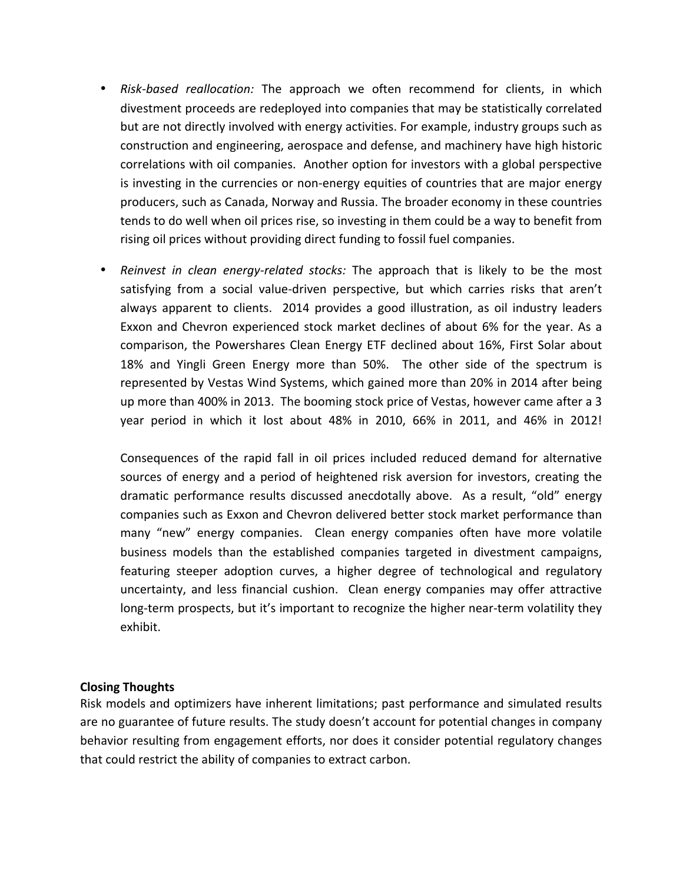- *Risk-based reallocation:* The approach we often recommend for clients, in which divestment proceeds are redeployed into companies that may be statistically correlated but are not directly involved with energy activities. For example, industry groups such as construction and engineering, aerospace and defense, and machinery have high historic correlations with oil companies. Another option for investors with a global perspective is investing in the currencies or non-energy equities of countries that are major energy producers, such as Canada, Norway and Russia. The broader economy in these countries tends to do well when oil prices rise, so investing in them could be a way to benefit from rising oil prices without providing direct funding to fossil fuel companies.
- *Reinvest in clean energy-related stocks:* The approach that is likely to be the most satisfying from a social value-driven perspective, but which carries risks that aren't always apparent to clients. 2014 provides a good illustration, as oil industry leaders Exxon and Chevron experienced stock market declines of about 6% for the year. As a comparison, the Powershares Clean Energy ETF declined about 16%, First Solar about 18% and Yingli Green Energy more than 50%. The other side of the spectrum is represented by Vestas Wind Systems, which gained more than 20% in 2014 after being up more than 400% in 2013. The booming stock price of Vestas, however came after a 3 year period in which it lost about 48% in 2010, 66% in 2011, and 46% in 2012!

Consequences of the rapid fall in oil prices included reduced demand for alternative sources of energy and a period of heightened risk aversion for investors, creating the dramatic performance results discussed anecdotally above. As a result, "old" energy companies such as Exxon and Chevron delivered better stock market performance than many "new" energy companies. Clean energy companies often have more volatile business models than the established companies targeted in divestment campaigns, featuring steeper adoption curves, a higher degree of technological and regulatory uncertainty, and less financial cushion. Clean energy companies may offer attractive long-term prospects, but it's important to recognize the higher near-term volatility they exhibit.

#### **Closing&Thoughts**

Risk models and optimizers have inherent limitations; past performance and simulated results are no guarantee of future results. The study doesn't account for potential changes in company behavior resulting from engagement efforts, nor does it consider potential regulatory changes that could restrict the ability of companies to extract carbon.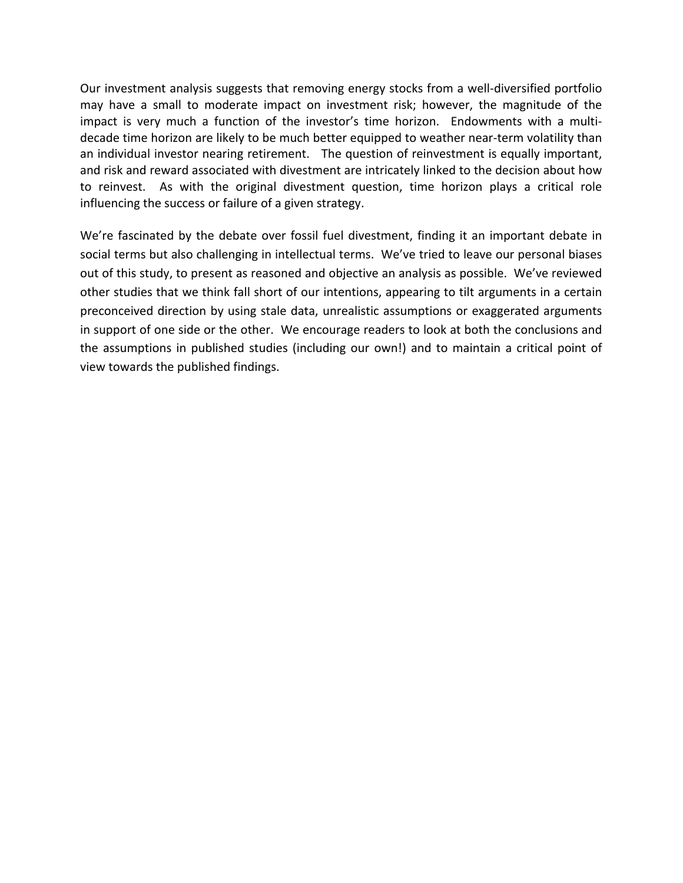Our investment analysis suggests that removing energy stocks from a well-diversified portfolio may have a small to moderate impact on investment risk; however, the magnitude of the impact is very much a function of the investor's time horizon. Endowments with a multidecade time horizon are likely to be much better equipped to weather near-term volatility than an individual investor nearing retirement. The question of reinvestment is equally important, and risk and reward associated with divestment are intricately linked to the decision about how to reinvest. As with the original divestment question, time horizon plays a critical role influencing the success or failure of a given strategy.

We're fascinated by the debate over fossil fuel divestment, finding it an important debate in social terms but also challenging in intellectual terms. We've tried to leave our personal biases out of this study, to present as reasoned and objective an analysis as possible. We've reviewed other studies that we think fall short of our intentions, appearing to tilt arguments in a certain preconceived direction by using stale data, unrealistic assumptions or exaggerated arguments in support of one side or the other. We encourage readers to look at both the conclusions and the assumptions in published studies (including our own!) and to maintain a critical point of view towards the published findings.